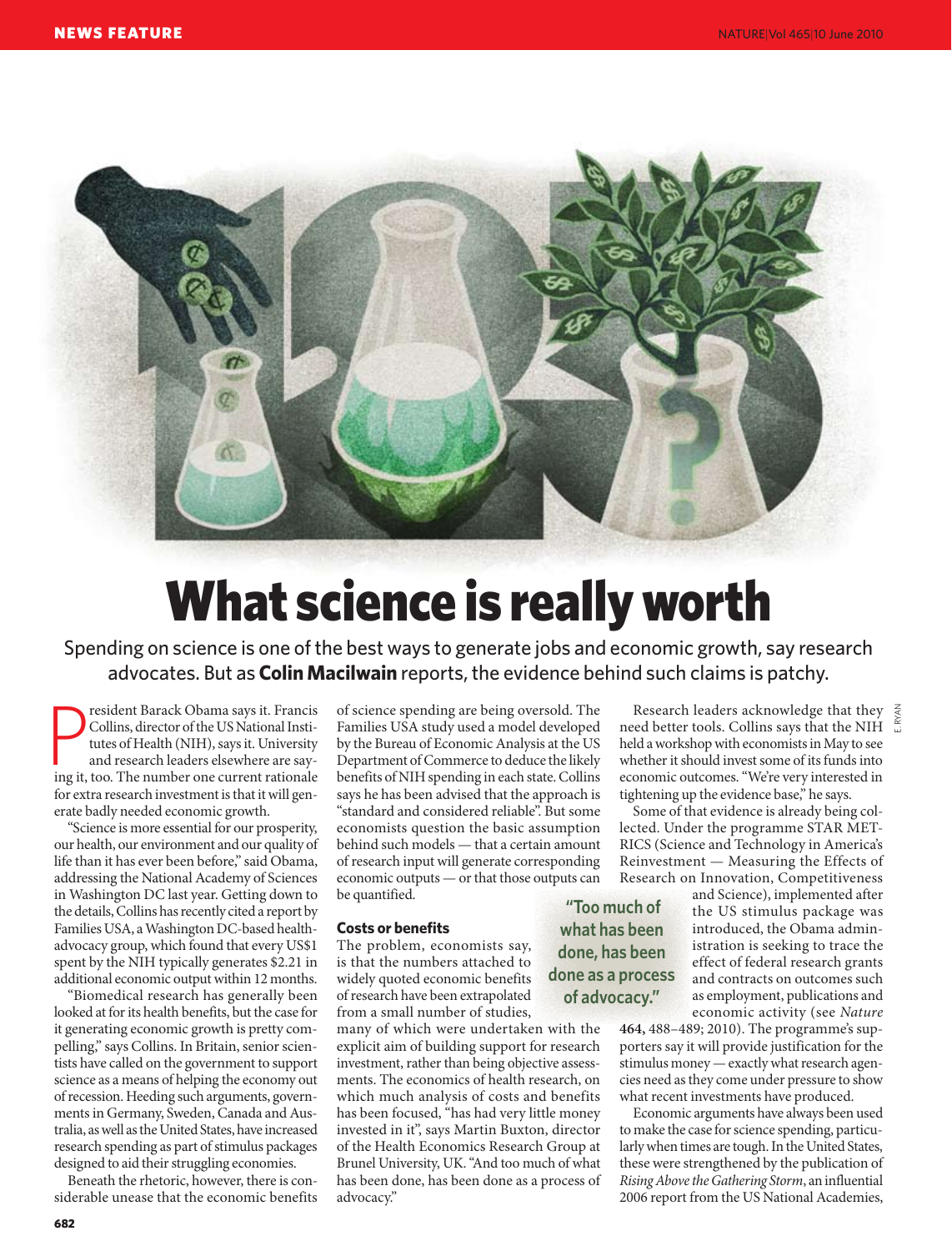

# What science is really worth

Spending on science is one of the best ways to generate jobs and economic growth, say research advocates. But as **Colin Macilwain** reports, the evidence behind such claims is patchy.

**Example 18** resident Barack Obama says it. Francis Collins, director of the US National Institutes of Health (NIH), says it. University and research leaders elsewhere are saying it, too. The number one current rationale resident Barack Obama says it. Francis Collins, director of the US National Institutes of Health (NIH), says it. University and research leaders elsewhere are sayfor extra research investment is that it will generate badly needed economic growth.

"Science is more essential for our prosperity, our health, our environment and our quality of life than it has ever been before," said Obama, addressing the National Academy of Sciences in Washington DC last year. Getting down to the details, Collins has recently cited a report by Families USA, a Washington DC-based healthadvocacy group, which found that every US\$1 spent by the NIH typically generates \$2.21 in additional economic output within 12 months.

"Biomedical research has generally been looked at for its health benefits, but the case for it generating economic growth is pretty compelling," says Collins. In Britain, senior scientists have called on the government to support science as a means of helping the economy out of recession. Heeding such arguments, governments in Germany, Sweden, Canada and Australia, as well as the United States, have increased research spending as part of stimulus packages designed to aid their struggling economies.

Beneath the rhetoric, however, there is considerable unease that the economic benefits of science spending are being oversold. The Families USA study used a model developed by the Bureau of Economic Analysis at the US Department of Commerce to deduce the likely benefits of NIH spending in each state. Collins says he has been advised that the approach is "standard and considered reliable". But some economists question the basic assumption behind such models — that a certain amount of research input will generate corresponding economic outputs — or that those outputs can be quantified.

### **Costs or benefits**

The problem, economists say, is that the numbers attached to widely quoted economic benefits of research have been extrapolated from a small number of studies,

many of which were undertaken with the explicit aim of building support for research investment, rather than being objective assessments. The economics of health research, on which much analysis of costs and benefits has been focused, "has had very little money invested in it", says Martin Buxton, director of the Health Economics Research Group at Brunel University, UK. "And too much of what has been done, has been done as a process of advocacy."

Research leaders acknowledge that they  $\frac{Z}{2}$ <br>ed better tools. Collins says that the NIH need better tools. Collins says that the NIH held a workshop with economists in May to see whether it should invest some of its funds into economic outcomes. "We're very interested in tightening up the evidence base," he says.

Some of that evidence is already being collected. Under the programme STAR MET-RICS (Science and Technology in America's Reinvestment — Measuring the Effects of Research on Innovation, Competitiveness

> and Science), implemented after the US stimulus package was introduced, the Obama administration is seeking to trace the effect of federal research grants and contracts on outcomes such as employment, publications and economic activity (see *Nature*

**464,** 488–489; 2010). The programme's supporters say it will provide justification for the stimulus money — exactly what research agencies need as they come under pressure to show what recent investments have produced.

Economic arguments have always been used to make the case for science spending, particularly when times are tough. In the United States, these were strengthened by the publication of *Rising Above the Gathering Storm*, an influential 2006 report from the US National Academies,

 **"Too much of what has been done, has been done as a process of advocacy."**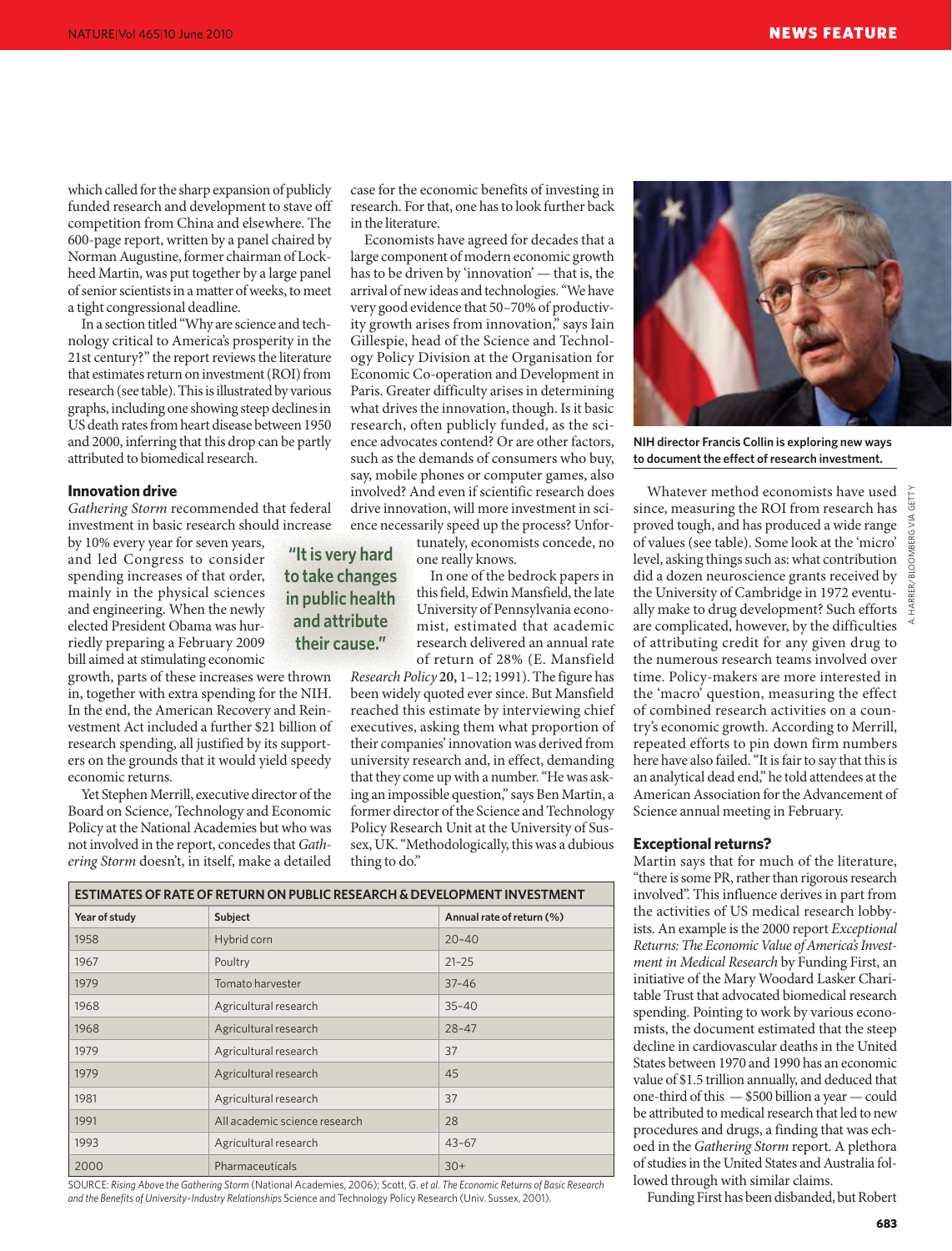which called for the sharp expansion of publicly funded research and development to stave off competition from China and elsewhere. The 600-page report, written by a panel chaired by Norman Augustine, former chairman of Lockheed Martin, was put together by a large panel of senior scientists in a matter of weeks, to meet a tight congressional deadline.

In a section titled "Why are science and technology critical to America's prosperity in the 21st century?" the report reviews the literature that estimates return on investment (ROI) from research (see table). This is illustrated by various graphs, including one showing steep declines in US death rates from heart disease between 1950 and 2000, inferring that this drop can be partly attributed to biomedical research.

#### **Innovation drive**

*Gathering Storm* recommended that federal investment in basic research should increase

by 10% every year for seven years, and led Congress to consider spending increases of that order, mainly in the physical sciences and engineering. When the newly elected President Obama was hurriedly preparing a February 2009 bill aimed at stimulating economic

growth, parts of these increases were thrown in, together with extra spending for the NIH. In the end, the American Recovery and Reinvestment Act included a further \$21 billion of research spending, all justified by its supporters on the grounds that it would yield speedy economic returns.

Yet Stephen Merrill, executive director of the Board on Science, Technology and Economic Policy at the National Academies but who was not involved in the report, concedes that *Gathering Storm* doesn't, in itself, make a detailed

case for the economic benefits of investing in research. For that, one has to look further back in the literature.

Economists have agreed for decades that a large component of modern economic growth has to be driven by 'innovation' — that is, the arrival of new ideas and technologies. "We have very good evidence that 50–70% of productivity growth arises from innovation," says Iain Gillespie, head of the Science and Technology Policy Division at the Organisation for Economic Co-operation and Development in Paris. Greater difficulty arises in determining what drives the innovation, though. Is it basic research, often publicly funded, as the science advocates contend? Or are other factors, such as the demands of consumers who buy, say, mobile phones or computer games, also involved? And even if scientific research does drive innovation, will more investment in science necessarily speed up the process? Unfor-

tunately, economists concede, no one really knows.

In one of the bedrock papers in this field, Edwin Mansfield, the late University of Pennsylvania economist, estimated that academic research delivered an annual rate of return of 28% (E. Mansfield

*Research Policy* **20,** 1–12; 1991). The figure has been widely quoted ever since. But Mansfield reached this estimate by interviewing chief executives, asking them what proportion of their companies' innovation was derived from university research and, in effect, demanding that they come up with a number. "He was asking an impossible question," says Ben Martin, a former director of the Science and Technology Policy Research Unit at the University of Sussex, UK. "Methodologically, this was a dubious thing to do."

| <b>ESTIMATES OF RATE OF RETURN ON PUBLIC RESEARCH &amp; DEVELOPMENT INVESTMENT</b> |                               |                           |
|------------------------------------------------------------------------------------|-------------------------------|---------------------------|
| Year of study                                                                      | Subject                       | Annual rate of return (%) |
| 1958                                                                               | Hybrid corn                   | $20 - 40$                 |
| 1967                                                                               | Poultry                       | $21 - 25$                 |
| 1979                                                                               | Tomato harvester              | $37 - 46$                 |
| 1968                                                                               | Agricultural research         | $35 - 40$                 |
| 1968                                                                               | Agricultural research         | $28 - 47$                 |
| 1979                                                                               | Agricultural research         | 37                        |
| 1979                                                                               | Agricultural research         | 45                        |
| 1981                                                                               | Agricultural research         | 37                        |
| 1991                                                                               | All academic science research | 28                        |
| 1993                                                                               | Agricultural research         | $43 - 67$                 |
| 2000                                                                               | Pharmaceuticals               | $30+$                     |

**"It is very hard to take changes in public health and attribute their cause."**

SOURCE: *Rising Above the Gathering Storm* (National Academies, 2006); Scott, G. *et al. The Economic Returns of Basic Research and the Benefits of University–Industry Relationships* Science and Technology Policy Research (Univ. Sussex, 2001).



**NIH director Francis Collin is exploring new ways to document the effect of research investment.**

Whatever method economists have used since, measuring the ROI from research has proved tough, and has produced a wide range of values (see table). Some look at the 'micro' level, asking things such as: what contribution did a dozen neuroscience grants received by the University of Cambridge in 1972 eventually make to drug development? Such efforts are complicated, however, by the difficulties of attributing credit for any given drug to the numerous research teams involved over time. Policy-makers are more interested in the 'macro' question, measuring the effect of combined research activities on a country's economic growth. According to Merrill, repeated efforts to pin down firm numbers here have also failed. "It is fair to say that this is an analytical dead end," he told attendees at the American Association for the Advancement of Science annual meeting in February.

#### **Exceptional returns?**

Martin says that for much of the literature, "there is some PR, rather than rigorous research involved". This influence derives in part from the activities of US medical research lobbyists. An example is the 2000 report *Exceptional Returns: The Economic Value of America's Investment in Medical Research* by Funding First, an initiative of the Mary Woodard Lasker Charitable Trust that advocated biomedical research spending. Pointing to work by various economists, the document estimated that the steep decline in cardiovascular deaths in the United States between 1970 and 1990 has an economic value of \$1.5 trillion annually, and deduced that one-third of this — \$500 billion a year — could be attributed to medical research that led to new procedures and drugs, a finding that was echoed in the *Gathering Storm* report. A plethora of studies in the United States and Australia followed through with similar claims.

Funding First has been disbanded, but Robert